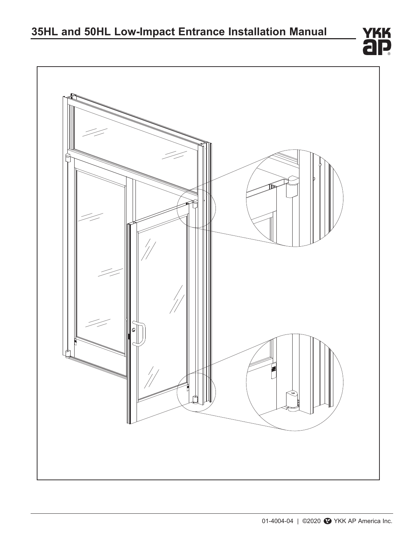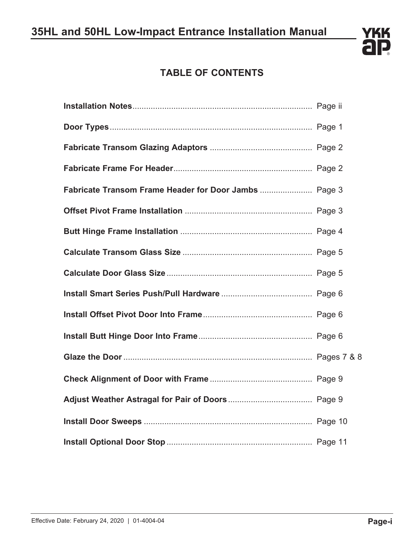

## **TABLE OF CONTENTS**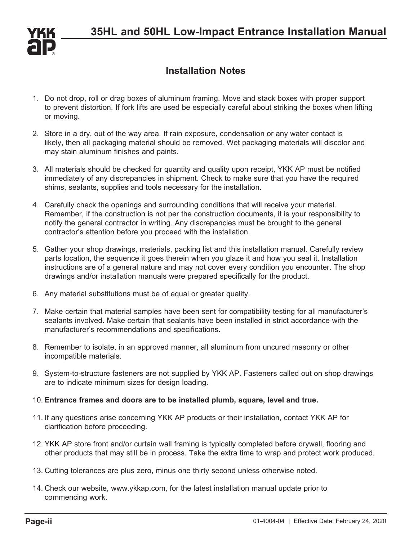

## **Installation Notes**

- 1. Do not drop, roll or drag boxes of aluminum framing. Move and stack boxes with proper support to prevent distortion. If fork lifts are used be especially careful about striking the boxes when lifting or moving.
- 2. Store in a dry, out of the way area. If rain exposure, condensation or any water contact is likely, then all packaging material should be removed. Wet packaging materials will discolor and may stain aluminum finishes and paints.
- 3. All materials should be checked for quantity and quality upon receipt, YKK AP must be notified immediately of any discrepancies in shipment. Check to make sure that you have the required shims, sealants, supplies and tools necessary for the installation.
- 4. Carefully check the openings and surrounding conditions that will receive your material. Remember, if the construction is not per the construction documents, it is your responsibility to notify the general contractor in writing. Any discrepancies must be brought to the general contractor's attention before you proceed with the installation.
- 5. Gather your shop drawings, materials, packing list and this installation manual. Carefully review parts location, the sequence it goes therein when you glaze it and how you seal it. Installation instructions are of a general nature and may not cover every condition you encounter. The shop drawings and/or installation manuals were prepared specifically for the product.
- 6. Any material substitutions must be of equal or greater quality.
- 7. Make certain that material samples have been sent for compatibility testing for all manufacturer's sealants involved. Make certain that sealants have been installed in strict accordance with the manufacturer's recommendations and specifications.
- 8. Remember to isolate, in an approved manner, all aluminum from uncured masonry or other incompatible materials.
- 9. System-to-structure fasteners are not supplied by YKK AP. Fasteners called out on shop drawings are to indicate minimum sizes for design loading.

#### 10. **Entrance frames and doors are to be installed plumb, square, level and true.**

- 11. If any questions arise concerning YKK AP products or their installation, contact YKK AP for clarification before proceeding.
- 12. YKK AP store front and/or curtain wall framing is typically completed before drywall, flooring and other products that may still be in process. Take the extra time to wrap and protect work produced.
- 13. Cutting tolerances are plus zero, minus one thirty second unless otherwise noted.
- 14. Check our website, www.ykkap.com, for the latest installation manual update prior to commencing work.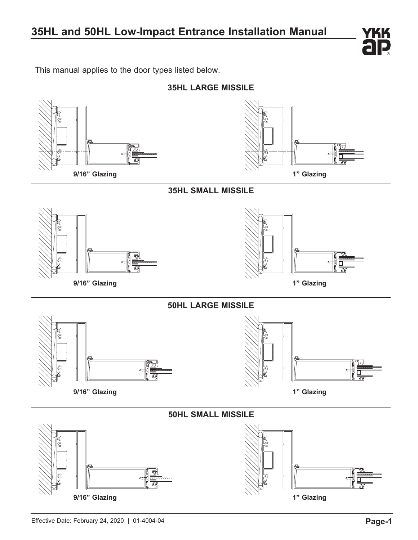

This manual applies to the door types listed below.

**35HL LARGE MISSILE**





**35HL SMALL MISSILE**

**50HL LARGE MISSILE**





**9/16" Glazing**







**9/16" Glazing**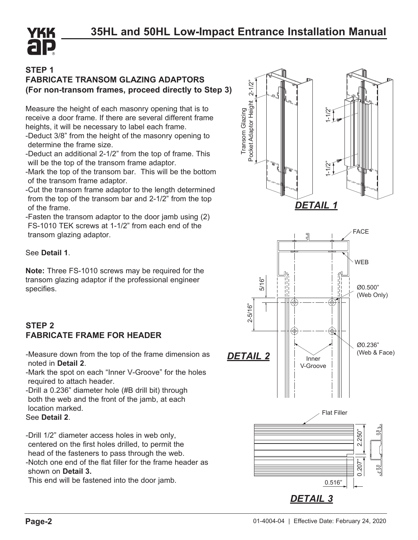

#### **STEP 1 FABRICATE TRANSOM GLAZING ADAPTORS (For non-transom frames, proceed directly to Step 3)**

Measure the height of each masonry opening that is to receive a door frame. If there are several different frame heights, it will be necessary to label each frame.

- -Deduct 3/8" from the height of the masonry opening to determine the frame size.
- -Deduct an additional 2-1/2" from the top of frame. This will be the top of the transom frame adaptor.
- -Mark the top of the transom bar. This will be the bottom of the transom frame adaptor.
- -Cut the transom frame adaptor to the length determined from the top of the transom bar and 2-1/2" from the top of the frame.
- -Fasten the transom adaptor to the door jamb using (2) FS-1010 TEK screws at 1-1/2" from each end of the transom glazing adaptor.

#### See **Detail 1**.

**Note:** Three FS-1010 screws may be required for the transom glazing adaptor if the professional engineer specifies.

## **STEP 2 FABRICATE FRAME FOR HEADER**

-Measure down from the top of the frame dimension as noted in **Detail 2**.

-Mark the spot on each "Inner V-Groove" for the holes required to attach header.

-Drill a 0.236" diameter hole (#B drill bit) through both the web and the front of the jamb, at each location marked.

See **Detail 2**.

-Drill 1/2" diameter access holes in web only, centered on the first holes drilled, to permit the head of the fasteners to pass through the web. -Notch one end of the flat filler for the frame header as shown on **Detail 3.**

This end will be fastened into the door jamb.

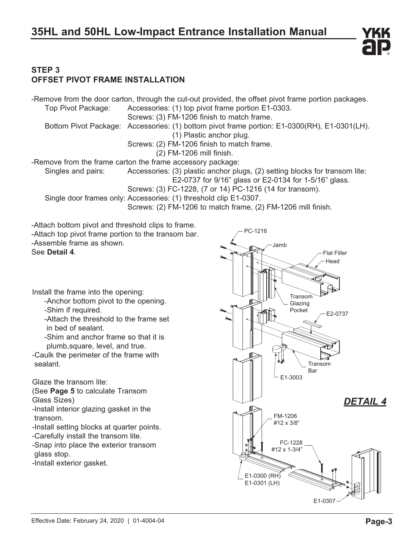## **STEP 3 OFFSET PIVOT FRAME INSTALLATION**

-Remove from the door carton, through the cut-out provided, the offset pivot frame portion packages. Top Pivot Package: Accessories: (1) top pivot frame portion E1-0303. Screws: (3) FM-1206 finish to match frame. Bottom Pivot Package: Accessories: (1) bottom pivot frame portion: E1-0300(RH), E1-0301(LH). (1) Plastic anchor plug. Screws: (2) FM-1206 finish to match frame. (2) FM-1206 mill finish. -Remove from the frame carton the frame accessory package: Singles and pairs: Accessories: (3) plastic anchor plugs, (2) setting blocks for transom lite: E2-0737 for 9/16" glass or E2-0134 for 1-5/16" glass. Screws: (3) FC-1228, (7 or 14) PC-1216 (14 for transom). Single door frames only: Accessories: (1) threshold clip E1-0307. Screws: (2) FM-1206 to match frame, (2) FM-1206 mill finish. -Attach bottom pivot and threshold clips to frame. -Attach top pivot frame portion to the transom bar. -Assemble frame as shown. See **Detail 4**. PC-1216 Jamb Flat Filler

Install the frame into the opening:

-Anchor bottom pivot to the opening.

-Shim if required.

 -Attach the threshold to the frame set in bed of sealant.

 -Shim and anchor frame so that it is plumb,square, level, and true.

-Caulk the perimeter of the frame with sealant.

Glaze the transom lite:

(See **Page 5** to calculate Transom Glass Sizes)

- -Install interior glazing gasket in the transom.
- -Install setting blocks at quarter points.
- -Carefully install the transom lite.
- -Snap into place the exterior transom glass stop.
- -Install exterior gasket.

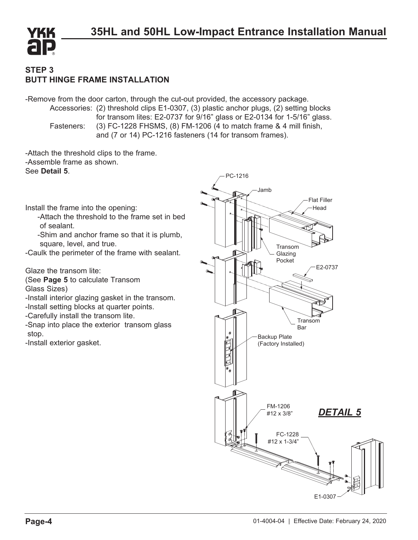

#### **STEP 3 BUTT HINGE FRAME INSTALLATION**

-Remove from the door carton, through the cut-out provided, the accessory package. Accessories: (2) threshold clips E1-0307, (3) plastic anchor plugs, (2) setting blocks for transom lites: E2-0737 for 9/16" glass or E2-0134 for 1-5/16" glass. Fasteners: (3) FC-1228 FHSMS, (8) FM-1206 (4 to match frame & 4 mill finish, and (7 or 14) PC-1216 fasteners (14 for transom frames).

-Attach the threshold clips to the frame. -Assemble frame as shown. See **Detail 5**.

Install the frame into the opening:

 -Attach the threshold to the frame set in bed of sealant.

 -Shim and anchor frame so that it is plumb, square, level, and true.

-Caulk the perimeter of the frame with sealant.

Glaze the transom lite:

(See **Page 5** to calculate Transom

Glass Sizes)

-Install interior glazing gasket in the transom.

-Install setting blocks at quarter points.

-Carefully install the transom lite.

-Snap into place the exterior transom glass stop.

-Install exterior gasket.

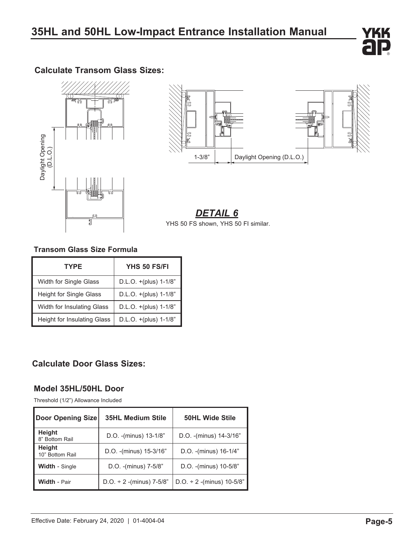

## **Calculate Transom Glass Sizes:**





*DETAIL 6* YHS 50 FS shown, YHS 50 FI similar.

#### **Transom Glass Size Formula**

| <b>TYPE</b>                        | YHS 50 FS/FI             |
|------------------------------------|--------------------------|
| Width for Single Glass             | $D.L.O. + (plus) 1-1/8"$ |
| <b>Height for Single Glass</b>     | $D.L.O. + (plus) 1-1/8"$ |
| <b>Width for Insulating Glass</b>  | $D.L.O. + (plus) 1-1/8"$ |
| <b>Height for Insulating Glass</b> | $D.L.O. + (plus) 1-1/8"$ |

## **Calculate Door Glass Sizes:**

#### **Model 35HL/50HL Door**

Threshold (1/2") Allowance Included

| Door Opening Size         | <b>35HL Medium Stile</b>      | <b>50HL Wide Stile</b>         |
|---------------------------|-------------------------------|--------------------------------|
| Height<br>8" Bottom Rail  | D.O. - (minus) 13-1/8"        | D.O. - (minus) 14-3/16"        |
| Height<br>10" Bottom Rail | D.O. - (minus) 15-3/16"       | D.O. - (minus) 16-1/4"         |
| Width - Single            | D.O. - (minus) 7-5/8"         | D.O. - (minus) 10-5/8"         |
| <b>Width - Pair</b>       | $D.O. \div 2$ -(minus) 7-5/8" | $D.O. \div 2$ -(minus) 10-5/8" |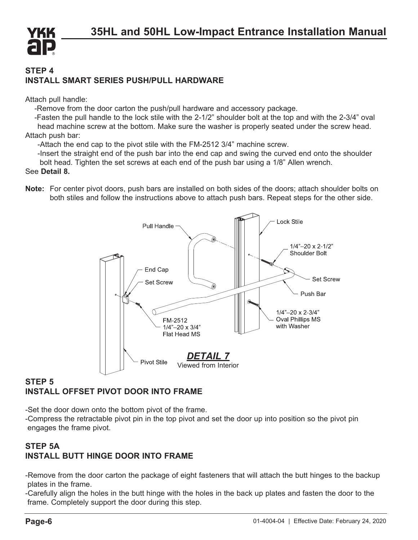

## **STEP 4 INSTALL SMART SERIES PUSH/PULL HARDWARE**

Attach pull handle:

-Remove from the door carton the push/pull hardware and accessory package.

 -Fasten the pull handle to the lock stile with the 2-1/2" shoulder bolt at the top and with the 2-3/4" oval head machine screw at the bottom. Make sure the washer is properly seated under the screw head. Attach push bar:

-Attach the end cap to the pivot stile with the FM-2512 3/4" machine screw.

 -Insert the straight end of the push bar into the end cap and swing the curved end onto the shoulder bolt head. Tighten the set screws at each end of the push bar using a 1/8" Allen wrench.

#### See **Detail 8.**

**Note:** For center pivot doors, push bars are installed on both sides of the doors; attach shoulder bolts on both stiles and follow the instructions above to attach push bars. Repeat steps for the other side.



## **STEP 5 INSTALL OFFSET PIVOT DOOR INTO FRAME**

-Set the door down onto the bottom pivot of the frame.

-Compress the retractable pivot pin in the top pivot and set the door up into position so the pivot pin engages the frame pivot.

## **STEP 5A INSTALL BUTT HINGE DOOR INTO FRAME**

-Remove from the door carton the package of eight fasteners that will attach the butt hinges to the backup plates in the frame.

-Carefully align the holes in the butt hinge with the holes in the back up plates and fasten the door to the frame. Completely support the door during this step.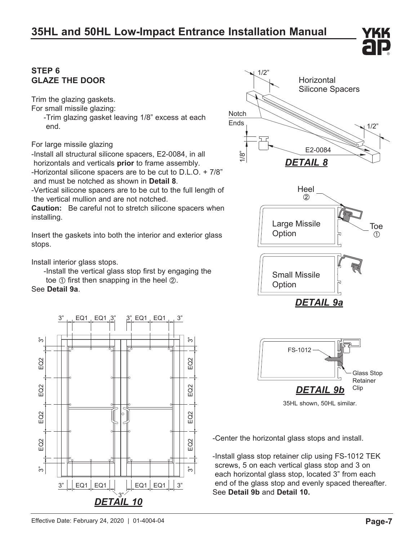# **35HL and 50HL Low-Impact Entrance Installation Manual**

## **STEP 6 GLAZE THE DOOR**

Trim the glazing gaskets.

For small missile glazing:

 -Trim glazing gasket leaving 1/8" excess at each end.

For large missile glazing

-Install all structural silicone spacers, E2-0084, in all horizontals and verticals **prior** to frame assembly.

-Horizontal silicone spacers are to be cut to D.L.O. + 7/8" and must be notched as shown in **Detail 8**.

-Vertical silicone spacers are to be cut to the full length of the vertical mullion and are not notched.

**Caution:** Be careful not to stretch silicone spacers when installing.

Insert the gaskets into both the interior and exterior glass stops.

Install interior glass stops.

 -Install the vertical glass stop first by engaging the toe  $\oplus$  first then snapping in the heel  $\otimes$ .

#### See **Detail 9a**.





-Center the horizontal glass stops and install.

-Install glass stop retainer clip using FS-1012 TEK screws, 5 on each vertical glass stop and 3 on each horizontal glass stop, located 3" from each end of the glass stop and evenly spaced thereafter. See **Detail 9b** and **Detail 10.**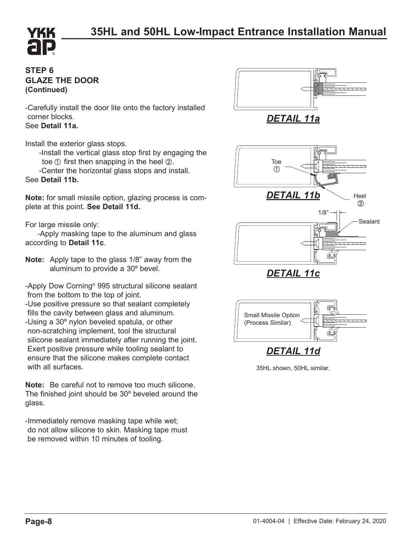## **STEP 6 GLAZE THE DOOR (Continued)**

YKK

-Carefully install the door lite onto the factory installed corner blocks.

See **Detail 11a.**

Install the exterior glass stops.

 -Install the vertical glass stop first by engaging the toe  $(1)$  first then snapping in the heel  $(2)$ .

 -Center the horizontal glass stops and install. See **Detail 11b.**

**Note:** for small missile option, glazing process is complete at this point. **See Detail 11d.**

For large missile only:

 -Apply masking tape to the aluminum and glass according to **Detail 11c**.

**Note:** Apply tape to the glass 1/8" away from the aluminum to provide a 30º bevel.

-Apply Dow Corning® 995 structural silicone sealant from the bottom to the top of joint.

-Use positive pressure so that sealant completely fills the cavity between glass and aluminum. -Using a 30º nylon beveled spatula, or other non-scratching implement, tool the structural silicone sealant immediately after running the joint. Exert positive pressure while tooling sealant to ensure that the silicone makes complete contact with all surfaces.

**Note:** Be careful not to remove too much silicone. The finished joint should be 30º beveled around the glass.

-Immediately remove masking tape while wet; do not allow silicone to skin. Masking tape must be removed within 10 minutes of tooling.







35HL shown, 50HL similar.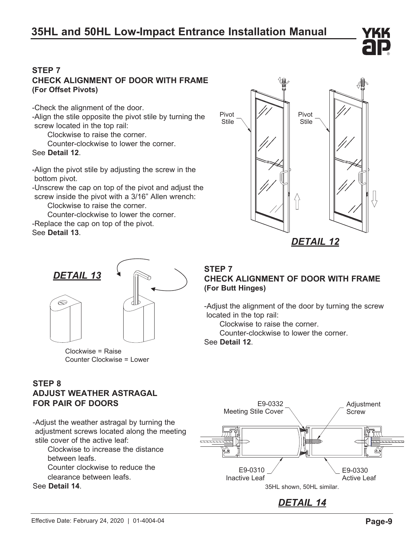# **35HL and 50HL Low-Impact Entrance Installation Manual**

**STEP 7**

**(For Butt Hinges)**

See **Detail 12**.

located in the top rail:

#### **STEP 7 CHECK ALIGNMENT OF DOOR WITH FRAME (For Offset Pivots)**

-Check the alignment of the door.

-Align the stile opposite the pivot stile by turning the screw located in the top rail:

Clockwise to raise the corner.

Counter-clockwise to lower the corner.

See **Detail 12**.

-Align the pivot stile by adjusting the screw in the bottom pivot.

-Unscrew the cap on top of the pivot and adjust the screw inside the pivot with a 3/16" Allen wrench:

Clockwise to raise the corner.

 Counter-clockwise to lower the corner. -Replace the cap on top of the pivot.

See **Detail 13**.



**CHECK ALIGNMENT OF DOOR WITH FRAME**

-Adjust the alignment of the door by turning the screw

Counter-clockwise to lower the corner.

Clockwise to raise the corner.



Clockwise = Raise Counter Clockwise = Lower

# **STEP 8 ADJUST WEATHER ASTRAGAL**

**FOR PAIR OF DOORS**

-Adjust the weather astragal by turning the adjustment screws located along the meeting stile cover of the active leaf:

 Clockwise to increase the distance between leafs.

 Counter clockwise to reduce the clearance between leafs.

See **Detail 14**.

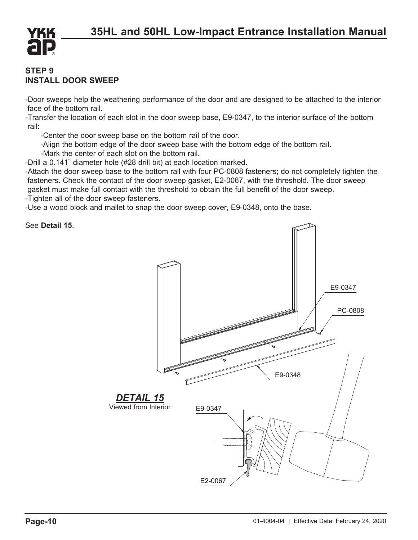

#### **STEP 9 INSTALL DOOR SWEEP**

-Door sweeps help the weathering performance of the door and are designed to be attached to the interior face of the bottom rail.

-Transfer the location of each slot in the door sweep base, E9-0347, to the interior surface of the bottom rail:

-Center the door sweep base on the bottom rail of the door.

-Align the bottom edge of the door sweep base with the bottom edge of the bottom rail.

-Mark the center of each slot on the bottom rail.

-Drill a 0.141" diameter hole (#28 drill bit) at each location marked.

-Attach the door sweep base to the bottom rail with four PC-0808 fasteners; do not completely tighten the fasteners. Check the contact of the door sweep gasket, E2-0067, with the threshold. The door sweep gasket must make full contact with the threshold to obtain the full benefit of the door sweep. -Tighten all of the door sweep fasteners.

-Use a wood block and mallet to snap the door sweep cover, E9-0348, onto the base.

See **Detail 15**.

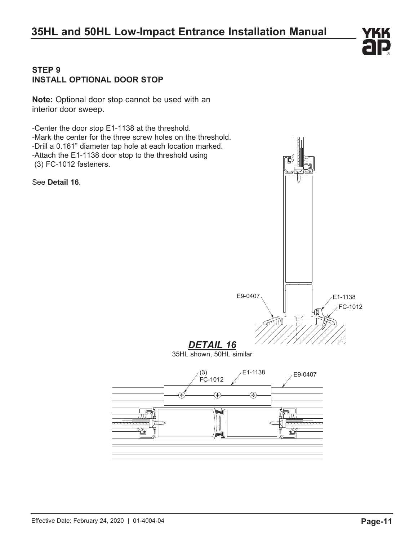# **35HL and 50HL Low-Impact Entrance Installation Manual**

### **STEP 9 INSTALL OPTIONAL DOOR STOP**

**Note:** Optional door stop cannot be used with an interior door sweep.

-Center the door stop E1-1138 at the threshold. -Mark the center for the three screw holes on the threshold. -Drill a 0.161" diameter tap hole at each location marked. -Attach the E1-1138 door stop to the threshold using (3) FC-1012 fasteners.

See **Detail 16**.



YKK